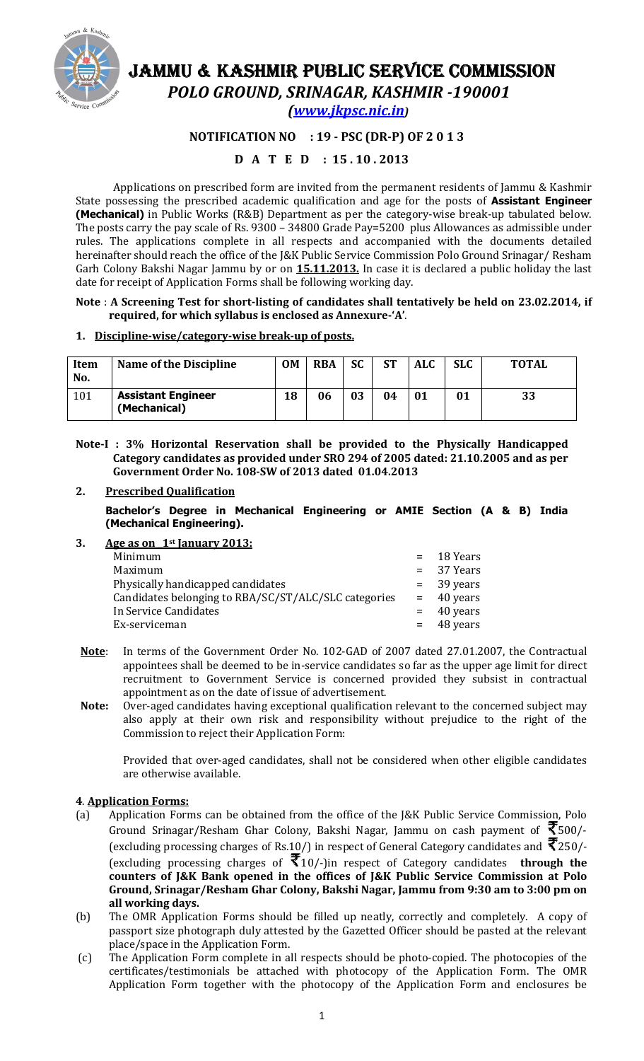

# JAMMU & KASHMIR PUBLIC SERVICE COMMISSION

POLO GROUND, SRINAGAR, KASHMIR -190001

(www.jkpsc.nic.in)

# NOTIFICATION NO : 19 - PSC (DR-P) OF 2 0 1 3

# D A T E D : 15 . 10 . 2013

Applications on prescribed form are invited from the permanent residents of Jammu & Kashmir State possessing the prescribed academic qualification and age for the posts of **Assistant Engineer** (Mechanical) in Public Works (R&B) Department as per the category-wise break-up tabulated below. The posts carry the pay scale of Rs. 9300 – 34800 Grade Pay=5200 plus Allowances as admissible under rules. The applications complete in all respects and accompanied with the documents detailed hereinafter should reach the office of the J&K Public Service Commission Polo Ground Srinagar/ Resham Garh Colony Bakshi Nagar Jammu by or on 15.11.2013. In case it is declared a public holiday the last date for receipt of Application Forms shall be following working day.

#### Note : A Screening Test for short-listing of candidates shall tentatively be held on 23.02.2014, if required, for which syllabus is enclosed as Annexure-'A'.

# 1. Discipline-wise/category-wise break-up of posts.

| <b>Item</b><br>No. | <b>Name of the Discipline</b>             | <b>OM</b> | <b>RBA</b> | <b>SC</b> | <b>ST</b> | <b>ALC</b> | <b>SLC</b> | <b>TOTAL</b> |
|--------------------|-------------------------------------------|-----------|------------|-----------|-----------|------------|------------|--------------|
| 101                | <b>Assistant Engineer</b><br>(Mechanical) | 18        | 06         | 03        | 04        | 01         | 01         | 33           |

Note-I : 3% Horizontal Reservation shall be provided to the Physically Handicapped Category candidates as provided under SRO 294 of 2005 dated: 21.10.2005 and as per Government Order No. 108-SW of 2013 dated 01.04.2013

# 2. Prescribed Qualification

Bachelor's Degree in Mechanical Engineering or AMIE Section (A & B) India (Mechanical Engineering).

# 3. Age as on  $1<sup>st</sup>$  January 2013:

| Minimum                                              | $=$ 18 Years |
|------------------------------------------------------|--------------|
| Maximum                                              | $= 37$ Years |
| Physically handicapped candidates                    | $=$ 39 years |
| Candidates belonging to RBA/SC/ST/ALC/SLC categories | $=$ 40 years |
| In Service Candidates                                | $=$ 40 years |
| Ex-serviceman                                        | $=$ 48 years |
|                                                      |              |

- Note: In terms of the Government Order No. 102-GAD of 2007 dated 27.01.2007, the Contractual appointees shall be deemed to be in-service candidates so far as the upper age limit for direct recruitment to Government Service is concerned provided they subsist in contractual appointment as on the date of issue of advertisement.
- Note: Over-aged candidates having exceptional qualification relevant to the concerned subject may also apply at their own risk and responsibility without prejudice to the right of the Commission to reject their Application Form:

Provided that over-aged candidates, shall not be considered when other eligible candidates are otherwise available.

# 4. Application Forms:

- (a) Application Forms can be obtained from the office of the J&K Public Service Commission, Polo Ground Srinagar/Resham Ghar Colony, Bakshi Nagar, Jammu on cash payment of  $\bar{\mathfrak{T}}$ 500/-(excluding processing charges of Rs.10/) in respect of General Category candidates and  $\bar{\mathcal{R}}$ 250/-(excluding processing charges of  $\bar{\mathcal{F}}_{10/-}$ )in respect of Category candidates **through the** counters of J&K Bank opened in the offices of J&K Public Service Commission at Polo Ground, Srinagar/Resham Ghar Colony, Bakshi Nagar, Jammu from 9:30 am to 3:00 pm on all working days.
- (b) The OMR Application Forms should be filled up neatly, correctly and completely. A copy of passport size photograph duly attested by the Gazetted Officer should be pasted at the relevant place/space in the Application Form.
- (c) The Application Form complete in all respects should be photo-copied. The photocopies of the certificates/testimonials be attached with photocopy of the Application Form. The OMR Application Form together with the photocopy of the Application Form and enclosures be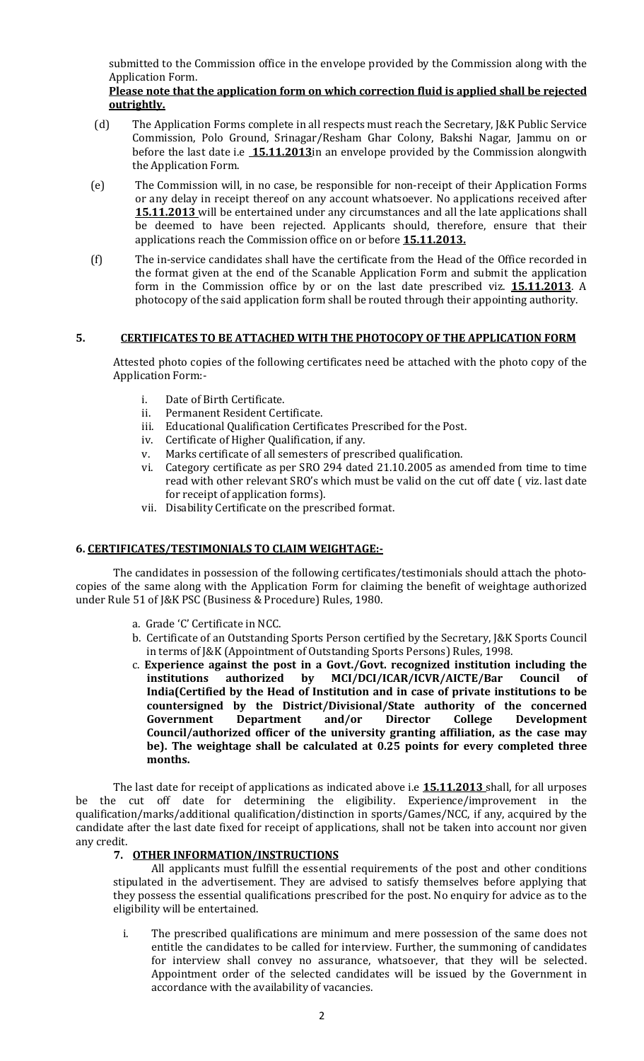submitted to the Commission office in the envelope provided by the Commission along with the Application Form.

#### Please note that the application form on which correction fluid is applied shall be rejected outrightly.

- (d) The Application Forms complete in all respects must reach the Secretary, J&K Public Service Commission, Polo Ground, Srinagar/Resham Ghar Colony, Bakshi Nagar, Jammu on or before the last date i.e  $15.11.2013$  in an envelope provided by the Commission alongwith the Application Form.
- (e) The Commission will, in no case, be responsible for non-receipt of their Application Forms or any delay in receipt thereof on any account whatsoever. No applications received after **15.11.2013** will be entertained under any circumstances and all the late applications shall be deemed to have been rejected. Applicants should, therefore, ensure that their applications reach the Commission office on or before **15.11.2013.**
- (f) The in-service candidates shall have the certificate from the Head of the Office recorded in the format given at the end of the Scanable Application Form and submit the application form in the Commission office by or on the last date prescribed viz. 15.11.2013. A photocopy of the said application form shall be routed through their appointing authority.

#### 5. CERTIFICATES TO BE ATTACHED WITH THE PHOTOCOPY OF THE APPLICATION FORM

Attested photo copies of the following certificates need be attached with the photo copy of the Application Form:-

- i. Date of Birth Certificate.
- ii. Permanent Resident Certificate.
- iii. Educational Qualification Certificates Prescribed for the Post.
- iv. Certificate of Higher Qualification, if any.
- v. Marks certificate of all semesters of prescribed qualification.
- vi. Category certificate as per SRO 294 dated 21.10.2005 as amended from time to time read with other relevant SRO's which must be valid on the cut off date ( viz. last date for receipt of application forms).
- vii. Disability Certificate on the prescribed format.

# 6. CERTIFICATES/TESTIMONIALS TO CLAIM WEIGHTAGE:-

The candidates in possession of the following certificates/testimonials should attach the photocopies of the same along with the Application Form for claiming the benefit of weightage authorized under Rule 51 of J&K PSC (Business & Procedure) Rules, 1980.

- a. Grade 'C' Certificate in NCC.
- b. Certificate of an Outstanding Sports Person certified by the Secretary, J&K Sports Council in terms of J&K (Appointment of Outstanding Sports Persons) Rules, 1998.
- c. Experience against the post in a Govt./Govt. recognized institution including the institutions authorized by MCI/DCI/ICAR/ICVR/AICTE/Bar Council India(Certified by the Head of Institution and in case of private institutions to be countersigned by the District/Divisional/State authority of the concerned Government Department and/or Director College Development Council/authorized officer of the university granting affiliation, as the case may be). The weightage shall be calculated at 0.25 points for every completed three months.

The last date for receipt of applications as indicated above i.e **15.11.2013** shall, for all urposes be the cut off date for determining the eligibility. Experience/improvement in the qualification/marks/additional qualification/distinction in sports/Games/NCC, if any, acquired by the candidate after the last date fixed for receipt of applications, shall not be taken into account nor given any credit.

#### 7. OTHER INFORMATION/INSTRUCTIONS

All applicants must fulfill the essential requirements of the post and other conditions stipulated in the advertisement. They are advised to satisfy themselves before applying that they possess the essential qualifications prescribed for the post. No enquiry for advice as to the eligibility will be entertained.

i. The prescribed qualifications are minimum and mere possession of the same does not entitle the candidates to be called for interview. Further, the summoning of candidates for interview shall convey no assurance, whatsoever, that they will be selected. Appointment order of the selected candidates will be issued by the Government in accordance with the availability of vacancies.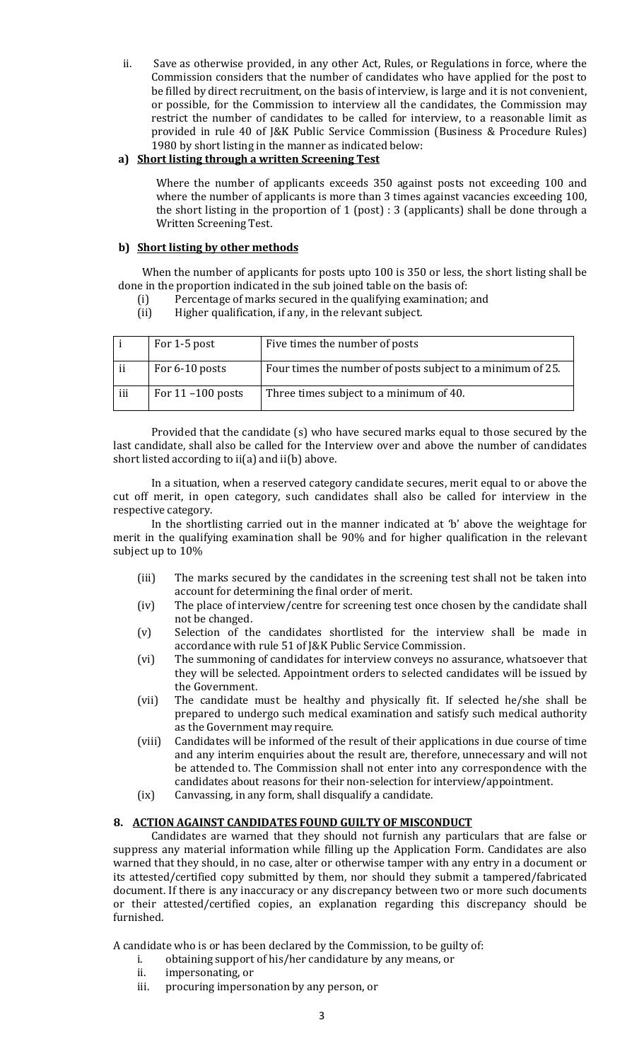ii. Save as otherwise provided, in any other Act, Rules, or Regulations in force, where the Commission considers that the number of candidates who have applied for the post to be filled by direct recruitment, on the basis of interview, is large and it is not convenient, or possible, for the Commission to interview all the candidates, the Commission may restrict the number of candidates to be called for interview, to a reasonable limit as provided in rule 40 of J&K Public Service Commission (Business & Procedure Rules) 1980 by short listing in the manner as indicated below:

# a) Short listing through a written Screening Test

Where the number of applicants exceeds 350 against posts not exceeding 100 and where the number of applicants is more than 3 times against vacancies exceeding 100, the short listing in the proportion of 1 (post) : 3 (applicants) shall be done through a Written Screening Test.

# b) Short listing by other methods

 When the number of applicants for posts upto 100 is 350 or less, the short listing shall be done in the proportion indicated in the sub joined table on the basis of:

- (i) Percentage of marks secured in the qualifying examination; and
- (ii) Higher qualification, if any, in the relevant subject.

|     | For 1-5 post         | Five times the number of posts                             |
|-----|----------------------|------------------------------------------------------------|
| ii  | For 6-10 posts       | Four times the number of posts subject to a minimum of 25. |
| iii | For $11 - 100$ posts | Three times subject to a minimum of 40.                    |

Provided that the candidate (s) who have secured marks equal to those secured by the last candidate, shall also be called for the Interview over and above the number of candidates short listed according to ii(a) and ii(b) above.

In a situation, when a reserved category candidate secures, merit equal to or above the cut off merit, in open category, such candidates shall also be called for interview in the respective category.

In the shortlisting carried out in the manner indicated at 'b' above the weightage for merit in the qualifying examination shall be 90% and for higher qualification in the relevant subject up to 10%

- (iii) The marks secured by the candidates in the screening test shall not be taken into account for determining the final order of merit.
- (iv) The place of interview/centre for screening test once chosen by the candidate shall not be changed.
- (v) Selection of the candidates shortlisted for the interview shall be made in accordance with rule 51 of J&K Public Service Commission.
- (vi) The summoning of candidates for interview conveys no assurance, whatsoever that they will be selected. Appointment orders to selected candidates will be issued by the Government.
- (vii) The candidate must be healthy and physically fit. If selected he/she shall be prepared to undergo such medical examination and satisfy such medical authority as the Government may require.
- (viii) Candidates will be informed of the result of their applications in due course of time and any interim enquiries about the result are, therefore, unnecessary and will not be attended to. The Commission shall not enter into any correspondence with the candidates about reasons for their non-selection for interview/appointment.
- (ix) Canvassing, in any form, shall disqualify a candidate.

# 8. ACTION AGAINST CANDIDATES FOUND GUILTY OF MISCONDUCT

Candidates are warned that they should not furnish any particulars that are false or suppress any material information while filling up the Application Form. Candidates are also warned that they should, in no case, alter or otherwise tamper with any entry in a document or its attested/certified copy submitted by them, nor should they submit a tampered/fabricated document. If there is any inaccuracy or any discrepancy between two or more such documents or their attested/certified copies, an explanation regarding this discrepancy should be furnished.

A candidate who is or has been declared by the Commission, to be guilty of:

- i. obtaining support of his/her candidature by any means, or
- ii. impersonating, or
- iii. procuring impersonation by any person, or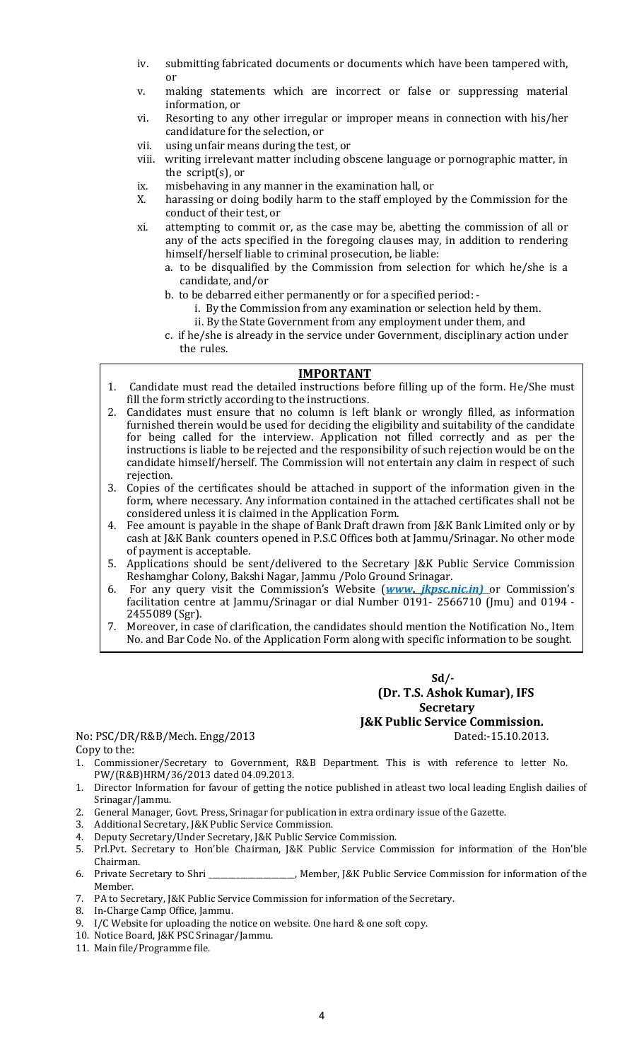- iv. submitting fabricated documents or documents which have been tampered with, or
- v. making statements which are incorrect or false or suppressing material information, or
- vi. Resorting to any other irregular or improper means in connection with his/her candidature for the selection, or
- vii. using unfair means during the test, or
- viii. writing irrelevant matter including obscene language or pornographic matter, in the script(s), or
- ix. misbehaving in any manner in the examination hall, or
- X. harassing or doing bodily harm to the staff employed by the Commission for the conduct of their test, or
- xi. attempting to commit or, as the case may be, abetting the commission of all or any of the acts specified in the foregoing clauses may, in addition to rendering himself/herself liable to criminal prosecution, be liable:
	- a. to be disqualified by the Commission from selection for which he/she is a candidate, and/or
	- b. to be debarred either permanently or for a specified period:
		- i. By the Commission from any examination or selection held by them.
		- ii. By the State Government from any employment under them, and
	- c. if he/she is already in the service under Government, disciplinary action under the rules.

# IMPORTANT

- 1. Candidate must read the detailed instructions before filling up of the form. He/She must fill the form strictly according to the instructions.
- 2. Candidates must ensure that no column is left blank or wrongly filled, as information furnished therein would be used for deciding the eligibility and suitability of the candidate for being called for the interview. Application not filled correctly and as per the instructions is liable to be rejected and the responsibility of such rejection would be on the candidate himself/herself. The Commission will not entertain any claim in respect of such rejection.
- 3. Copies of the certificates should be attached in support of the information given in the form, where necessary. Any information contained in the attached certificates shall not be considered unless it is claimed in the Application Form.
- 4. Fee amount is payable in the shape of Bank Draft drawn from J&K Bank Limited only or by cash at J&K Bank counters opened in P.S.C Offices both at Jammu/Srinagar. No other mode of payment is acceptable.
- 5. Applications should be sent/delivered to the Secretary J&K Public Service Commission Reshamghar Colony, Bakshi Nagar, Jammu /Polo Ground Srinagar.
- 6. For any query visit the Commission's Website (www. *jkpsc.nic.in*) or Commission's facilitation centre at Jammu/Srinagar or dial Number 0191- 2566710 (Jmu) and 0194 - 2455089 (Sgr).
- 7. Moreover, in case of clarification, the candidates should mention the Notification No., Item No. and Bar Code No. of the Application Form along with specific information to be sought.

 $Sd$ - (Dr. T.S. Ashok Kumar), IFS **Secretary** J&K Public Service Commission.

No: PSC/DR/R&B/Mech. Engg/2013 Dated:-15.10.2013. Copy to the:

- 1. Commissioner/Secretary to Government, R&B Department. This is with reference to letter No. PW/(R&B)HRM/36/2013 dated 04.09.2013.
- 1. Director Information for favour of getting the notice published in atleast two local leading English dailies of Srinagar/Jammu.
- 2. General Manager, Govt. Press, Srinagar for publication in extra ordinary issue of the Gazette.
- 3. Additional Secretary, J&K Public Service Commission.
- 4. Deputy Secretary/Under Secretary, J&K Public Service Commission.
- 5. Prl.Pvt. Secretary to Hon'ble Chairman, J&K Public Service Commission for information of the Hon'ble Chairman.
- 6. Private Secretary to Shri \_\_\_\_\_\_\_\_\_\_\_\_\_\_\_\_\_\_\_\_\_\_, Member, J&K Public Service Commission for information of the Member.
- 7. PA to Secretary, J&K Public Service Commission for information of the Secretary.
- 8. In-Charge Camp Office, Jammu.
- 9. I/C Website for uploading the notice on website. One hard & one soft copy.
- 10. Notice Board, J&K PSC Srinagar/Jammu.
- 11. Main file/Programme file.